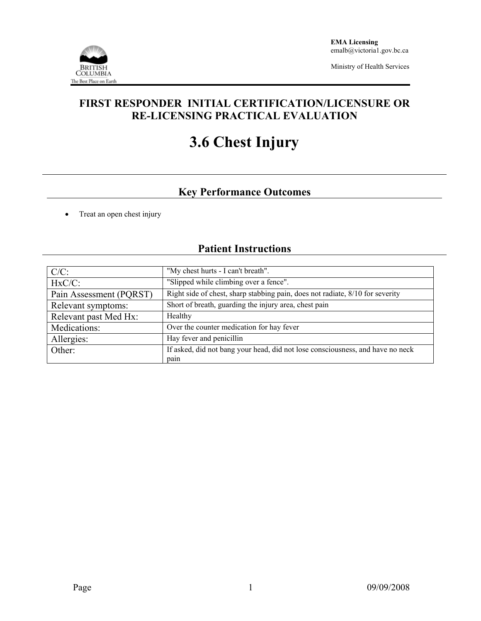

Ministry of Health Services

## **FIRST RESPONDER INITIAL CERTIFICATION/LICENSURE OR RE-LICENSING PRACTICAL EVALUATION**

# **3.6 Chest Injury**

## **Key Performance Outcomes**

• Treat an open chest injury

## **Patient Instructions**

| $C/C$ :                 | "My chest hurts - I can't breath".                                             |  |  |
|-------------------------|--------------------------------------------------------------------------------|--|--|
| $HxC/C$ :               | "Slipped while climbing over a fence".                                         |  |  |
| Pain Assessment (PQRST) | Right side of chest, sharp stabbing pain, does not radiate, 8/10 for severity  |  |  |
| Relevant symptoms:      | Short of breath, guarding the injury area, chest pain                          |  |  |
| Relevant past Med Hx:   | Healthy                                                                        |  |  |
| Medications:            | Over the counter medication for hay fever                                      |  |  |
| Allergies:              | Hay fever and penicillin                                                       |  |  |
| Other:                  | If asked, did not bang your head, did not lose consciousness, and have no neck |  |  |
|                         | pain                                                                           |  |  |